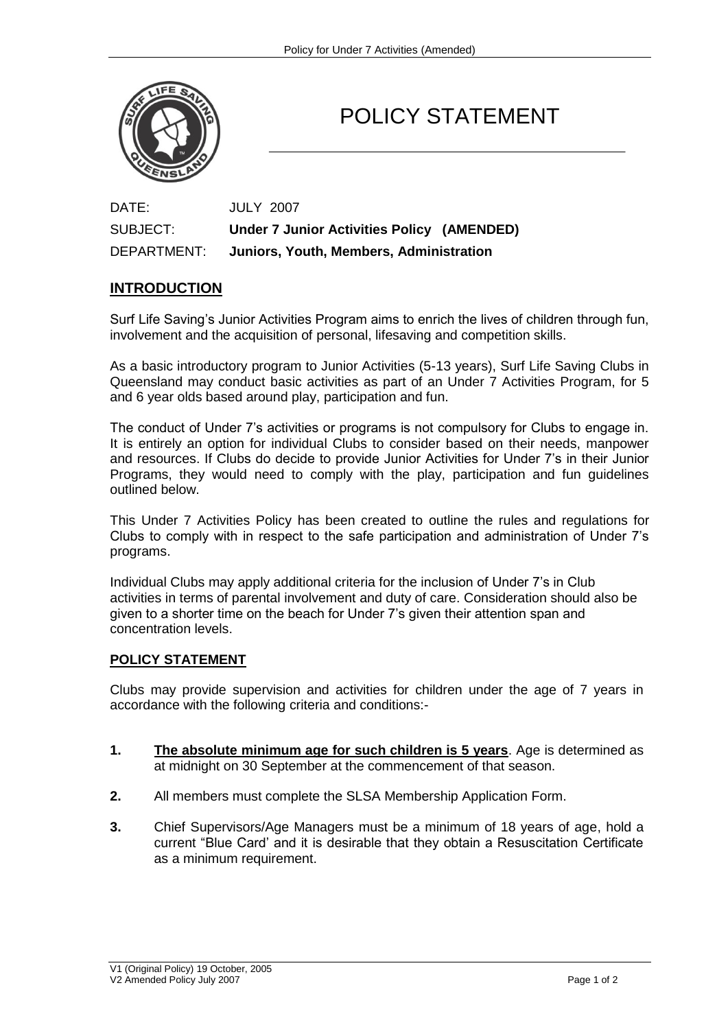

## POLICY STATEMENT

DATE: JULY 2007 SUBJECT: **Under 7 Junior Activities Policy (AMENDED)** DEPARTMENT: **Juniors, Youth, Members, Administration**

## **INTRODUCTION**

Surf Life Saving's Junior Activities Program aims to enrich the lives of children through fun, involvement and the acquisition of personal, lifesaving and competition skills.

As a basic introductory program to Junior Activities (5-13 years), Surf Life Saving Clubs in Queensland may conduct basic activities as part of an Under 7 Activities Program, for 5 and 6 year olds based around play, participation and fun.

The conduct of Under 7's activities or programs is not compulsory for Clubs to engage in. It is entirely an option for individual Clubs to consider based on their needs, manpower and resources. If Clubs do decide to provide Junior Activities for Under 7's in their Junior Programs, they would need to comply with the play, participation and fun guidelines outlined below.

This Under 7 Activities Policy has been created to outline the rules and regulations for Clubs to comply with in respect to the safe participation and administration of Under 7's programs.

Individual Clubs may apply additional criteria for the inclusion of Under 7's in Club activities in terms of parental involvement and duty of care. Consideration should also be given to a shorter time on the beach for Under 7's given their attention span and concentration levels.

## **POLICY STATEMENT**

Clubs may provide supervision and activities for children under the age of 7 years in accordance with the following criteria and conditions:-

- **1. The absolute minimum age for such children is 5 years**. Age is determined as at midnight on 30 September at the commencement of that season.
- **2.** All members must complete the SLSA Membership Application Form.
- **3.** Chief Supervisors/Age Managers must be a minimum of 18 years of age, hold a current "Blue Card' and it is desirable that they obtain a Resuscitation Certificate as a minimum requirement.